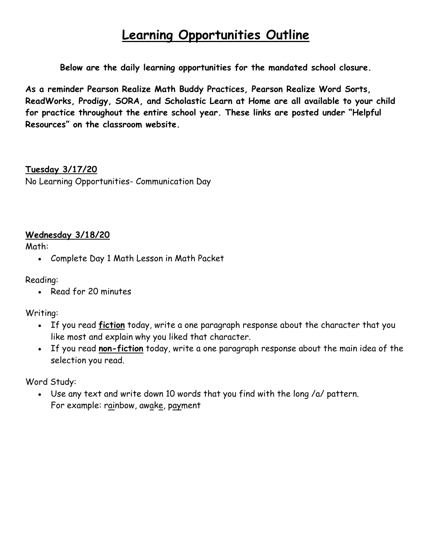# **Learning Opportunities Outline**

**Below are the daily learning opportunities for the mandated school closure.**

**As a reminder Pearson Realize Math Buddy Practices, Pearson Realize Word Sorts, ReadWorks, Prodigy, SORA, and Scholastic Learn at Home are all available to your child for practice throughout the entire school year. These links are posted under "Helpful Resources" on the classroom website.**

**Tuesday 3/17/20** No Learning Opportunities- Communication Day

#### **Wednesday 3/18/20**

Math:

• Complete Day 1 Math Lesson in Math Packet

Reading:

• Read for 20 minutes

Writing:

- If you read **fiction** today, write a one paragraph response about the character that you like most and explain why you liked that character.
- If you read **non-fiction** today, write a one paragraph response about the main idea of the selection you read.

Word Study:

• Use any text and write down 10 words that you find with the long /a/ pattern. For example: rainbow, awake, payment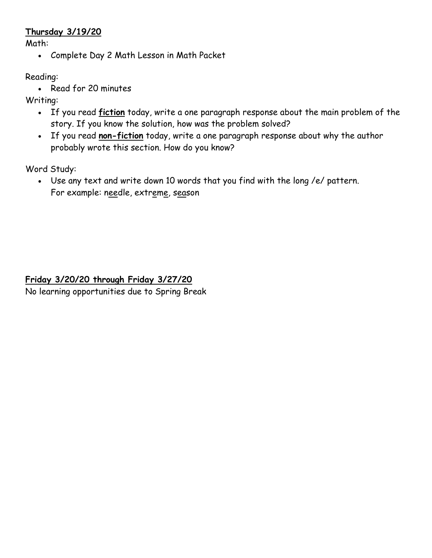#### **Thursday 3/19/20**

Math:

• Complete Day 2 Math Lesson in Math Packet

Reading:

• Read for 20 minutes

Writing:

- If you read **fiction** today, write a one paragraph response about the main problem of the story. If you know the solution, how was the problem solved?
- If you read **non-fiction** today, write a one paragraph response about why the author probably wrote this section. How do you know?

Word Study:

• Use any text and write down 10 words that you find with the long /e/ pattern. For example: needle, extreme, season

**Friday 3/20/20 through Friday 3/27/20** No learning opportunities due to Spring Break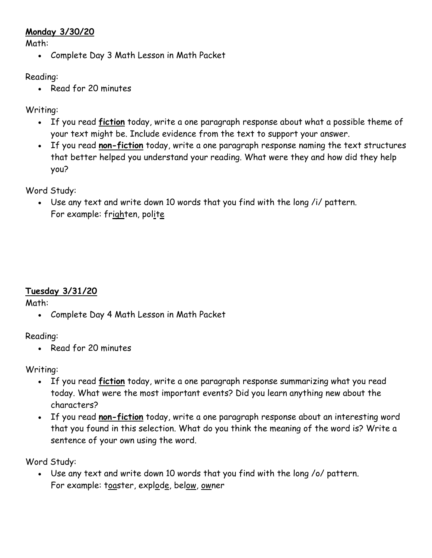#### **Monday 3/30/20**

Math:

• Complete Day 3 Math Lesson in Math Packet

#### Reading:

• Read for 20 minutes

## Writing:

- If you read **fiction** today, write a one paragraph response about what a possible theme of your text might be. Include evidence from the text to support your answer.
- If you read **non-fiction** today, write a one paragraph response naming the text structures that better helped you understand your reading. What were they and how did they help you?

Word Study:

• Use any text and write down 10 words that you find with the long /i/ pattern. For example: frighten, polite

# **Tuesday 3/31/20**

Math:

• Complete Day 4 Math Lesson in Math Packet

Reading:

• Read for 20 minutes

Writing:

- If you read **fiction** today, write a one paragraph response summarizing what you read today. What were the most important events? Did you learn anything new about the characters?
- If you read **non-fiction** today, write a one paragraph response about an interesting word that you found in this selection. What do you think the meaning of the word is? Write a sentence of your own using the word.

Word Study:

• Use any text and write down 10 words that you find with the long /o/ pattern. For example: toaster, explode, below, owner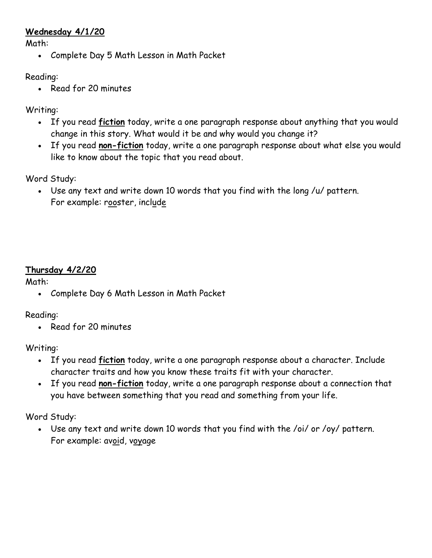#### **Wednesday 4/1/20**

Math:

• Complete Day 5 Math Lesson in Math Packet

#### Reading:

• Read for 20 minutes

## Writing:

- If you read **fiction** today, write a one paragraph response about anything that you would change in this story. What would it be and why would you change it?
- If you read **non-fiction** today, write a one paragraph response about what else you would like to know about the topic that you read about.

Word Study:

• Use any text and write down 10 words that you find with the long /u/ pattern. For example: rooster, include

# **Thursday 4/2/20**

## Math:

• Complete Day 6 Math Lesson in Math Packet

Reading:

• Read for 20 minutes

Writing:

- If you read **fiction** today, write a one paragraph response about a character. Include character traits and how you know these traits fit with your character.
- If you read **non-fiction** today, write a one paragraph response about a connection that you have between something that you read and something from your life.

Word Study:

• Use any text and write down 10 words that you find with the /oi/ or /oy/ pattern. For example: avoid, voyage